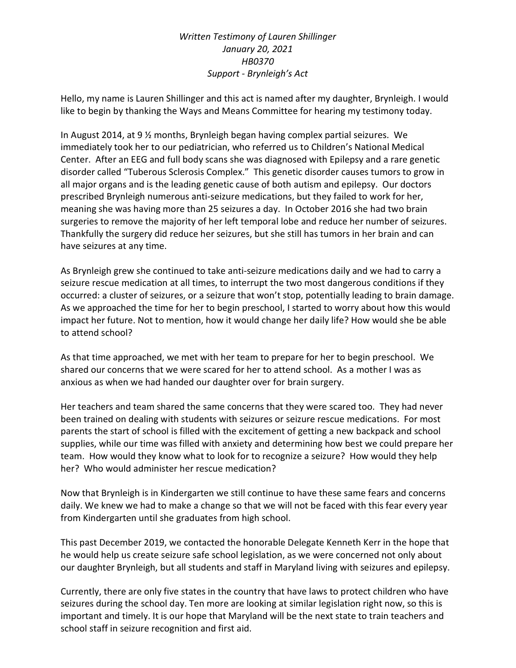## Written Testimony of Lauren Shillinger January 20, 2021 HB0370 Support - Brynleigh's Act

Hello, my name is Lauren Shillinger and this act is named after my daughter, Brynleigh. I would like to begin by thanking the Ways and Means Committee for hearing my testimony today.

In August 2014, at 9 ½ months, Brynleigh began having complex partial seizures. We immediately took her to our pediatrician, who referred us to Children's National Medical Center. After an EEG and full body scans she was diagnosed with Epilepsy and a rare genetic disorder called "Tuberous Sclerosis Complex." This genetic disorder causes tumors to grow in all major organs and is the leading genetic cause of both autism and epilepsy. Our doctors prescribed Brynleigh numerous anti-seizure medications, but they failed to work for her, meaning she was having more than 25 seizures a day. In October 2016 she had two brain surgeries to remove the majority of her left temporal lobe and reduce her number of seizures. Thankfully the surgery did reduce her seizures, but she still has tumors in her brain and can have seizures at any time.

As Brynleigh grew she continued to take anti-seizure medications daily and we had to carry a seizure rescue medication at all times, to interrupt the two most dangerous conditions if they occurred: a cluster of seizures, or a seizure that won't stop, potentially leading to brain damage. As we approached the time for her to begin preschool, I started to worry about how this would impact her future. Not to mention, how it would change her daily life? How would she be able to attend school?

As that time approached, we met with her team to prepare for her to begin preschool. We shared our concerns that we were scared for her to attend school. As a mother I was as anxious as when we had handed our daughter over for brain surgery.

Her teachers and team shared the same concerns that they were scared too. They had never been trained on dealing with students with seizures or seizure rescue medications. For most parents the start of school is filled with the excitement of getting a new backpack and school supplies, while our time was filled with anxiety and determining how best we could prepare her team. How would they know what to look for to recognize a seizure? How would they help her? Who would administer her rescue medication?

Now that Brynleigh is in Kindergarten we still continue to have these same fears and concerns daily. We knew we had to make a change so that we will not be faced with this fear every year from Kindergarten until she graduates from high school.

This past December 2019, we contacted the honorable Delegate Kenneth Kerr in the hope that he would help us create seizure safe school legislation, as we were concerned not only about our daughter Brynleigh, but all students and staff in Maryland living with seizures and epilepsy.

Currently, there are only five states in the country that have laws to protect children who have seizures during the school day. Ten more are looking at similar legislation right now, so this is important and timely. It is our hope that Maryland will be the next state to train teachers and school staff in seizure recognition and first aid.